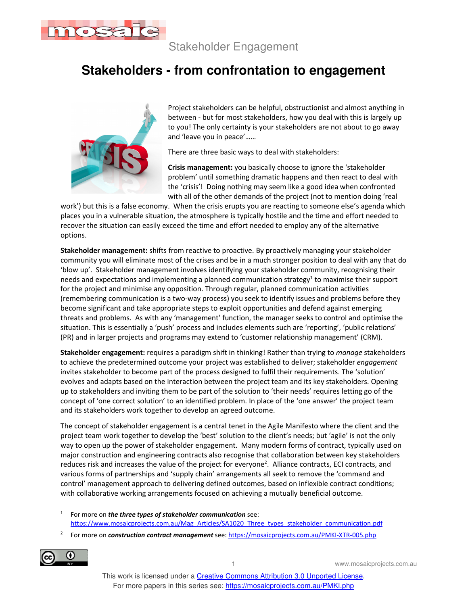

Stakeholder Engagement

## **Stakeholders - from confrontation to engagement**



Project stakeholders can be helpful, obstructionist and almost anything in between - but for most stakeholders, how you deal with this is largely up to you! The only certainty is your stakeholders are not about to go away and 'leave you in peace'……

There are three basic ways to deal with stakeholders:

**Crisis management:** you basically choose to ignore the 'stakeholder problem' until something dramatic happens and then react to deal with the 'crisis'! Doing nothing may seem like a good idea when confronted with all of the other demands of the project (not to mention doing 'real

work') but this is a false economy. When the crisis erupts you are reacting to someone else's agenda which places you in a vulnerable situation, the atmosphere is typically hostile and the time and effort needed to recover the situation can easily exceed the time and effort needed to employ any of the alternative options.

**Stakeholder management:** shifts from reactive to proactive. By proactively managing your stakeholder community you will eliminate most of the crises and be in a much stronger position to deal with any that do 'blow up'. Stakeholder management involves identifying your stakeholder community, recognising their needs and expectations and implementing a planned communication strategy<sup>1</sup> to maximise their support for the project and minimise any opposition. Through regular, planned communication activities (remembering communication is a two-way process) you seek to identify issues and problems before they become significant and take appropriate steps to exploit opportunities and defend against emerging threats and problems. As with any 'management' function, the manager seeks to control and optimise the situation. This is essentially a 'push' process and includes elements such are 'reporting', 'public relations' (PR) and in larger projects and programs may extend to 'customer relationship management' (CRM).

**Stakeholder engagement:** requires a paradigm shift in thinking! Rather than trying to *manage* stakeholders to achieve the predetermined outcome your project was established to deliver; stakeholder *engagement* invites stakeholder to become part of the process designed to fulfil their requirements. The 'solution' evolves and adapts based on the interaction between the project team and its key stakeholders. Opening up to stakeholders and inviting them to be part of the solution to 'their needs' requires letting go of the concept of 'one correct solution' to an identified problem. In place of the 'one answer' the project team and its stakeholders work together to develop an agreed outcome.

The concept of stakeholder engagement is a central tenet in the Agile Manifesto where the client and the project team work together to develop the 'best' solution to the client's needs; but 'agile' is not the only way to open up the power of stakeholder engagement. Many modern forms of contract, typically used on major construction and engineering contracts also recognise that collaboration between key stakeholders reduces risk and increases the value of the project for everyone<sup>2</sup>. Alliance contracts, ECI contracts, and various forms of partnerships and 'supply chain' arrangements all seek to remove the 'command and control' management approach to delivering defined outcomes, based on inflexible contract conditions; with collaborative working arrangements focused on achieving a mutually beneficial outcome.

<sup>2</sup> For more on *construction contract management* see: https://mosaicprojects.com.au/PMKI-XTR-005.php



1 www.mosaicprojects.com.au

<sup>1</sup> For more on *the three types of stakeholder communication* see: https://www.mosaicprojects.com.au/Mag\_Articles/SA1020\_Three\_types\_stakeholder\_communication.pdf